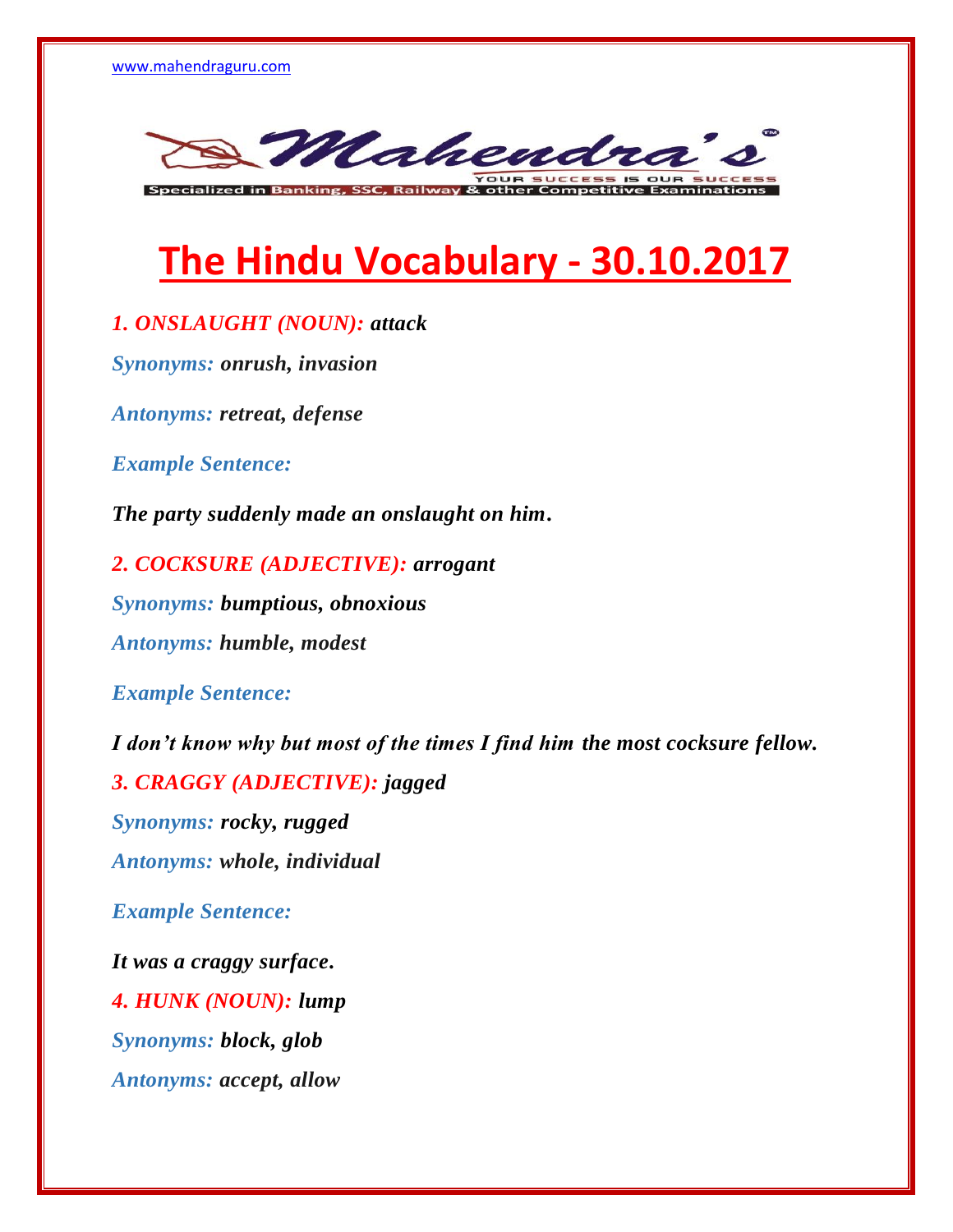

**The Hindu Vocabulary - 30.10.2017**

*1. ONSLAUGHT (NOUN): attack*

*Synonyms: onrush, invasion*

*Antonyms: retreat, defense*

*Example Sentence:*

*The party suddenly made an onslaught on him.*

*2. COCKSURE (ADJECTIVE): arrogant Synonyms: bumptious, obnoxious Antonyms: humble, modest*

*Example Sentence:*

*I don't know why but most of the times I find him the most cocksure fellow. 3. CRAGGY (ADJECTIVE): jagged Synonyms: rocky, rugged Antonyms: whole, individual Example Sentence: It was a craggy surface. 4. HUNK (NOUN): lump Synonyms: block, glob*

*Antonyms: accept, allow*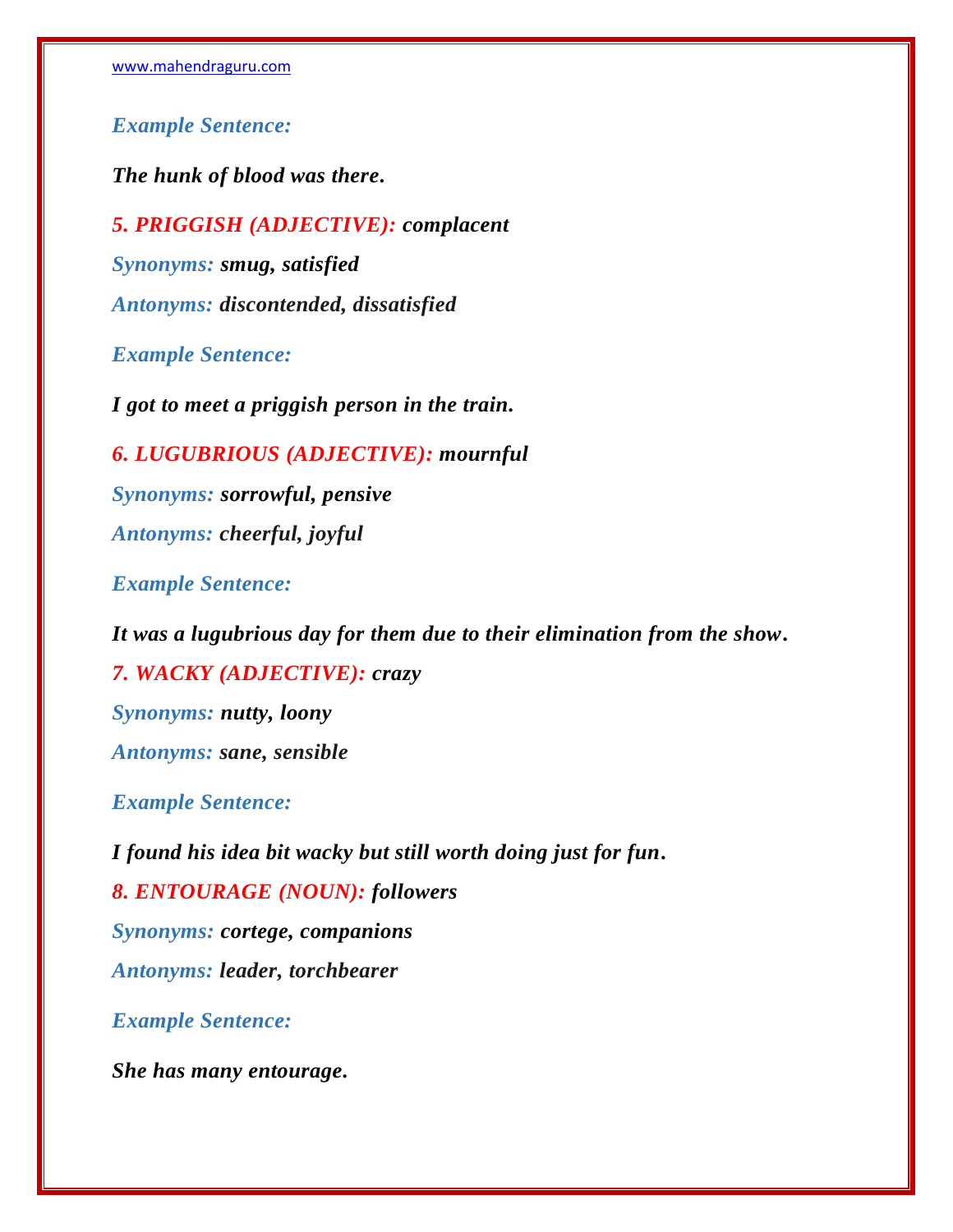*Example Sentence:*

*The hunk of blood was there.*

*5. PRIGGISH (ADJECTIVE): complacent Synonyms: smug, satisfied Antonyms: discontended, dissatisfied*

*Example Sentence:*

*I got to meet a priggish person in the train.*

*6. LUGUBRIOUS (ADJECTIVE): mournful Synonyms: sorrowful, pensive Antonyms: cheerful, joyful*

*Example Sentence:*

*It was a lugubrious day for them due to their elimination from the show. 7. WACKY (ADJECTIVE): crazy Synonyms: nutty, loony Antonyms: sane, sensible*

*Example Sentence:*

*I found his idea bit wacky but still worth doing just for fun. 8. ENTOURAGE (NOUN): followers Synonyms: cortege, companions Antonyms: leader, torchbearer Example Sentence:*

*She has many entourage.*